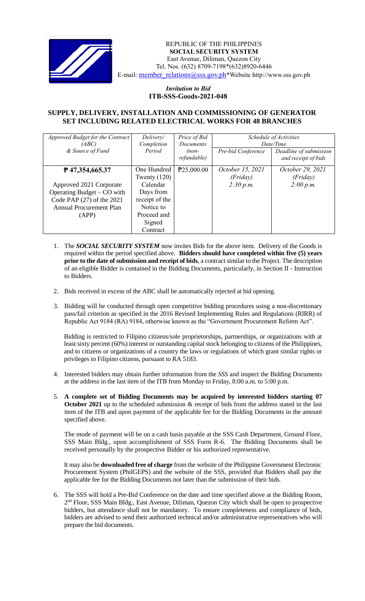

 *Invitation to Bid* REPUBLIC OF THE PHILIPPINES  **SOCIAL SECURITY SYSTEM** East Avenue, Diliman, Quezon City Tel. Nos. (632) 8709-7198\*(632)8920-6446 E-mail: member\_relations@sss.gov.ph\*Website http://www.sss.gov.ph

## *Invitation to Bid*  **ITB-SSS-Goods-2021-048**

## **SUPPLY, DELIVERY, INSTALLATION AND COMMISSIONING OF GENERATOR SET INCLUDING RELATED ELECTRICAL WORKS FOR 48 BRANCHES**

| Approved Budget for the Contract<br>(ABC)<br>& Source of Fund                                                                                   | Delivery/<br>Completion<br>Period                                                                                          | Price of Bid<br>Documents<br>$(non-$<br>refundable) | Pre-bid Conference                        | Schedule of Activities<br>Date/Time<br>Deadline of submission<br>and receipt of bids |
|-------------------------------------------------------------------------------------------------------------------------------------------------|----------------------------------------------------------------------------------------------------------------------------|-----------------------------------------------------|-------------------------------------------|--------------------------------------------------------------------------------------|
| P47,354,665.37<br>Approved 2021 Corporate<br>Operating Budget – CO with<br>Code PAP (27) of the 2021<br><b>Annual Procurement Plan</b><br>(APP) | One Hundred<br>Twenty $(120)$<br>Calendar<br>Days from<br>receipt of the<br>Notice to<br>Proceed and<br>Signed<br>Contract | P25,000.00                                          | October 15, 2021<br>(Friday)<br>2:30 p.m. | October 29, 2021<br>(Friday)<br>2:00 p.m.                                            |

- 1. The *SOCIAL SECURITY SYSTEM* now invites Bids for the above item. Delivery of the Goods is required within the period specified above. **Bidders should have completed within five (5) years prior to the date of submission and receipt of bids**, a contract similar to the Project. The description of an eligible Bidder is contained in the Bidding Documents, particularly, in Section II - Instruction to Bidders.
- 2. Bids received in excess of the ABC shall be automatically rejected at bid opening.
- 3. Bidding will be conducted through open competitive bidding procedures using a non-discretionary pass/fail criterion as specified in the 2016 Revised Implementing Rules and Regulations (RIRR) of Republic Act 9184 (RA) 9184, otherwise known as the "Government Procurement Reform Act".

Bidding is restricted to Filipino citizens/sole proprietorships, partnerships, or organizations with at least sixty percent (60%) interest or outstanding capital stock belonging to citizens of the Philippines, and to citizens or organizations of a country the laws or regulations of which grant similar rights or privileges to Filipino citizens, pursuant to RA 5183.

- 4. Interested bidders may obtain further information from the *SSS* and inspect the Bidding Documents at the address in the last item of the ITB from Monday to Friday, 8:00 a.m. to 5:00 p.m.
- 5. **A complete set of Bidding Documents may be acquired by interested bidders starting 07 October 2021** up to the scheduled submission & receipt of bids from the address stated in the last item of the ITB and upon payment of the applicable fee for the Bidding Documents in the amount specified above.

The mode of payment will be on a cash basis payable at the SSS Cash Department, Ground Floor, SSS Main Bldg., upon accomplishment of SSS Form R-6. The Bidding Documents shall be received personally by the prospective Bidder or his authorized representative.

It may also be **downloaded free of charge** from the website of the Philippine Government Electronic Procurement System (PhilGEPS) and the website of the SSS*,* provided that Bidders shall pay the applicable fee for the Bidding Documents not later than the submission of their bids.

6. The SSS will hold a Pre-Bid Conference on the date and time specified above at the Bidding Room, 2<sup>nd</sup> Floor, SSS Main Bldg., East Avenue, Diliman, Quezon City which shall be open to prospective bidders, but attendance shall not be mandatory. To ensure completeness and compliance of bids, bidders are advised to send their authorized technical and/or administrative representatives who will prepare the bid documents.